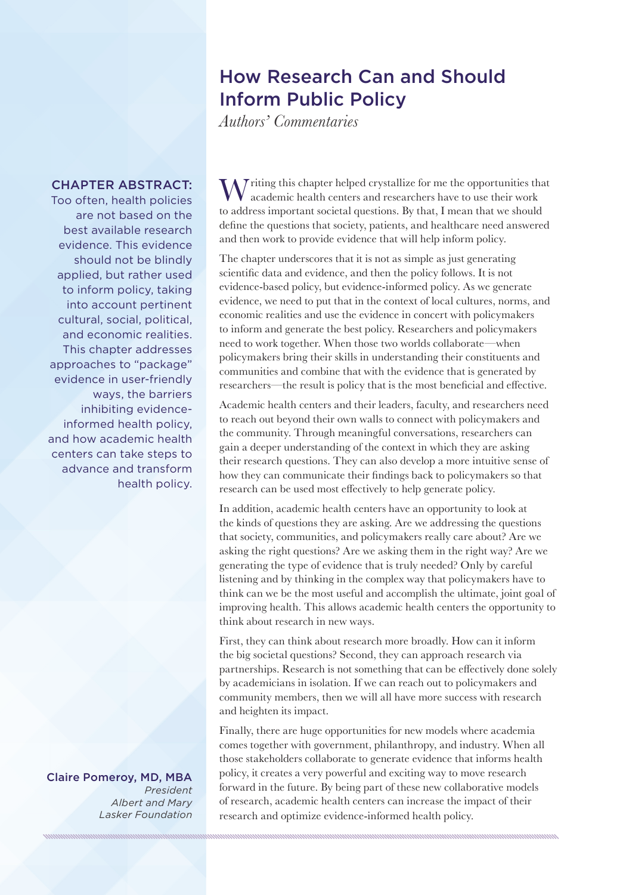## How Research Can and Should Inform Public Policy

*Authors' Commentaries*

## CHAPTER ABSTRACT:

Too often, health policies are not based on the best available research evidence. This evidence should not be blindly applied, but rather used to inform policy, taking into account pertinent cultural, social, political, and economic realities. This chapter addresses approaches to "package" evidence in user-friendly ways, the barriers inhibiting evidenceinformed health policy, and how academic health centers can take steps to advance and transform health policy.

Claire Pomeroy, MD, MBA *President Albert and Mary Lasker Foundation*

W<sup>riting</sup> this chapter helped crystallize for me the opportunities that academic health centers and researchers have to use their work to address important societal questions. By that, I mean that we should define the questions that society, patients, and healthcare need answered and then work to provide evidence that will help inform policy.

The chapter underscores that it is not as simple as just generating scientific data and evidence, and then the policy follows. It is not evidence-based policy, but evidence-informed policy. As we generate evidence, we need to put that in the context of local cultures, norms, and economic realities and use the evidence in concert with policymakers to inform and generate the best policy. Researchers and policymakers need to work together. When those two worlds collaborate—when policymakers bring their skills in understanding their constituents and communities and combine that with the evidence that is generated by researchers—the result is policy that is the most beneficial and effective.

Academic health centers and their leaders, faculty, and researchers need to reach out beyond their own walls to connect with policymakers and the community. Through meaningful conversations, researchers can gain a deeper understanding of the context in which they are asking their research questions. They can also develop a more intuitive sense of how they can communicate their findings back to policymakers so that research can be used most effectively to help generate policy.

In addition, academic health centers have an opportunity to look at the kinds of questions they are asking. Are we addressing the questions that society, communities, and policymakers really care about? Are we asking the right questions? Are we asking them in the right way? Are we generating the type of evidence that is truly needed? Only by careful listening and by thinking in the complex way that policymakers have to think can we be the most useful and accomplish the ultimate, joint goal of improving health. This allows academic health centers the opportunity to think about research in new ways.

First, they can think about research more broadly. How can it inform the big societal questions? Second, they can approach research via partnerships. Research is not something that can be effectively done solely by academicians in isolation. If we can reach out to policymakers and community members, then we will all have more success with research and heighten its impact.

Finally, there are huge opportunities for new models where academia comes together with government, philanthropy, and industry. When all those stakeholders collaborate to generate evidence that informs health policy, it creates a very powerful and exciting way to move research forward in the future. By being part of these new collaborative models of research, academic health centers can increase the impact of their research and optimize evidence-informed health policy.